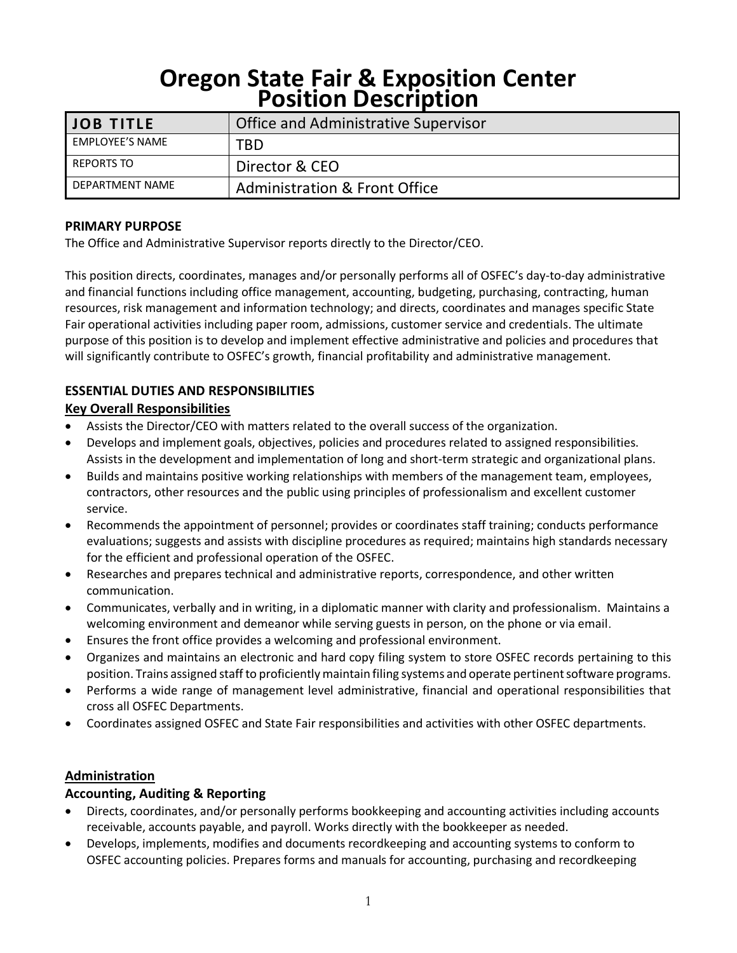# **Oregon State Fair & Exposition Center Position Description**

| <b>JOB TITLE</b>       | <b>Office and Administrative Supervisor</b> |
|------------------------|---------------------------------------------|
| <b>EMPLOYEE'S NAME</b> | TBD                                         |
| REPORTS TO             | Director & CEO                              |
| DEPARTMENT NAME        | Administration & Front Office               |

#### **PRIMARY PURPOSE**

The Office and Administrative Supervisor reports directly to the Director/CEO.

This position directs, coordinates, manages and/or personally performs all of OSFEC's day-to-day administrative and financial functions including office management, accounting, budgeting, purchasing, contracting, human resources, risk management and information technology; and directs, coordinates and manages specific State Fair operational activities including paper room, admissions, customer service and credentials. The ultimate purpose of this position is to develop and implement effective administrative and policies and procedures that will significantly contribute to OSFEC's growth, financial profitability and administrative management.

## **ESSENTIAL DUTIES AND RESPONSIBILITIES**

### **Key Overall Responsibilities**

- Assists the Director/CEO with matters related to the overall success of the organization.
- Develops and implement goals, objectives, policies and procedures related to assigned responsibilities. Assists in the development and implementation of long and short-term strategic and organizational plans.
- Builds and maintains positive working relationships with members of the management team, employees, contractors, other resources and the public using principles of professionalism and excellent customer service.
- Recommends the appointment of personnel; provides or coordinates staff training; conducts performance evaluations; suggests and assists with discipline procedures as required; maintains high standards necessary for the efficient and professional operation of the OSFEC.
- Researches and prepares technical and administrative reports, correspondence, and other written communication.
- Communicates, verbally and in writing, in a diplomatic manner with clarity and professionalism. Maintains a welcoming environment and demeanor while serving guests in person, on the phone or via email.
- Ensures the front office provides a welcoming and professional environment.
- Organizes and maintains an electronic and hard copy filing system to store OSFEC records pertaining to this position. Trains assigned staff to proficiently maintain filing systems and operate pertinent software programs.
- Performs a wide range of management level administrative, financial and operational responsibilities that cross all OSFEC Departments.
- Coordinates assigned OSFEC and State Fair responsibilities and activities with other OSFEC departments.

#### **Administration**

#### **Accounting, Auditing & Reporting**

- Directs, coordinates, and/or personally performs bookkeeping and accounting activities including accounts receivable, accounts payable, and payroll. Works directly with the bookkeeper as needed.
- Develops, implements, modifies and documents recordkeeping and accounting systems to conform to OSFEC accounting policies. Prepares forms and manuals for accounting, purchasing and recordkeeping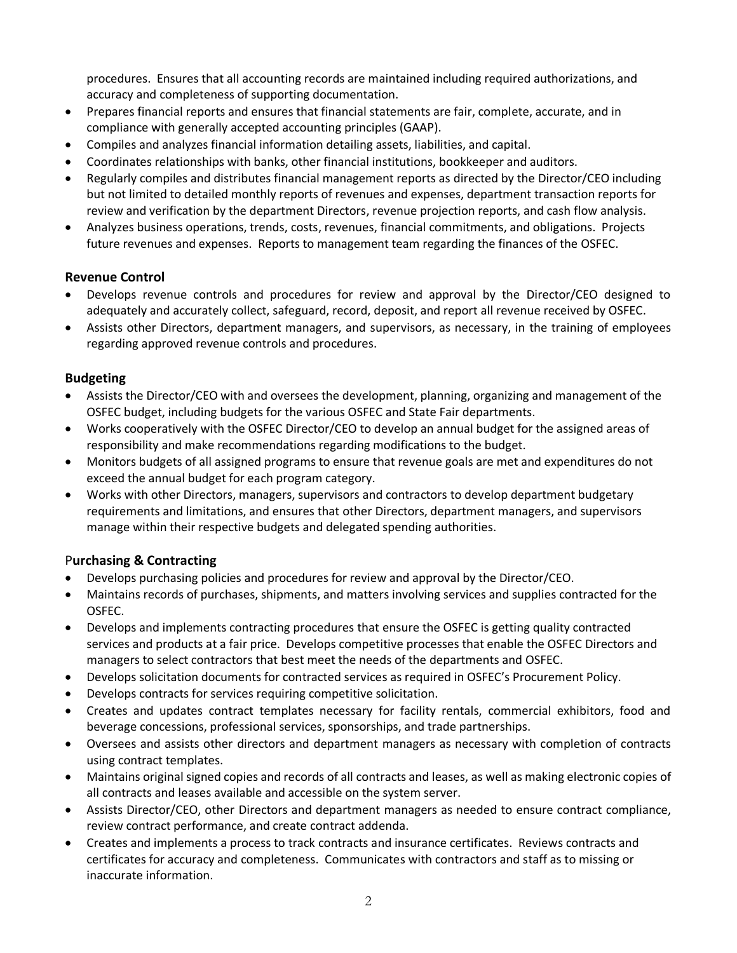procedures. Ensures that all accounting records are maintained including required authorizations, and accuracy and completeness of supporting documentation.

- Prepares financial reports and ensures that financial statements are fair, complete, accurate, and in compliance with generally accepted accounting principles (GAAP).
- Compiles and analyzes financial information detailing assets, liabilities, and capital.
- Coordinates relationships with banks, other financial institutions, bookkeeper and auditors.
- Regularly compiles and distributes financial management reports as directed by the Director/CEO including but not limited to detailed monthly reports of revenues and expenses, department transaction reports for review and verification by the department Directors, revenue projection reports, and cash flow analysis.
- Analyzes business operations, trends, costs, revenues, financial commitments, and obligations. Projects future revenues and expenses. Reports to management team regarding the finances of the OSFEC.

#### **Revenue Control**

- Develops revenue controls and procedures for review and approval by the Director/CEO designed to adequately and accurately collect, safeguard, record, deposit, and report all revenue received by OSFEC.
- Assists other Directors, department managers, and supervisors, as necessary, in the training of employees regarding approved revenue controls and procedures.

#### **Budgeting**

- Assists the Director/CEO with and oversees the development, planning, organizing and management of the OSFEC budget, including budgets for the various OSFEC and State Fair departments.
- Works cooperatively with the OSFEC Director/CEO to develop an annual budget for the assigned areas of responsibility and make recommendations regarding modifications to the budget.
- Monitors budgets of all assigned programs to ensure that revenue goals are met and expenditures do not exceed the annual budget for each program category.
- Works with other Directors, managers, supervisors and contractors to develop department budgetary requirements and limitations, and ensures that other Directors, department managers, and supervisors manage within their respective budgets and delegated spending authorities.

#### P**urchasing & Contracting**

- Develops purchasing policies and procedures for review and approval by the Director/CEO.
- Maintains records of purchases, shipments, and matters involving services and supplies contracted for the OSFEC.
- Develops and implements contracting procedures that ensure the OSFEC is getting quality contracted services and products at a fair price. Develops competitive processes that enable the OSFEC Directors and managers to select contractors that best meet the needs of the departments and OSFEC.
- Develops solicitation documents for contracted services as required in OSFEC's Procurement Policy.
- Develops contracts for services requiring competitive solicitation.
- Creates and updates contract templates necessary for facility rentals, commercial exhibitors, food and beverage concessions, professional services, sponsorships, and trade partnerships.
- Oversees and assists other directors and department managers as necessary with completion of contracts using contract templates.
- Maintains original signed copies and records of all contracts and leases, as well as making electronic copies of all contracts and leases available and accessible on the system server.
- Assists Director/CEO, other Directors and department managers as needed to ensure contract compliance, review contract performance, and create contract addenda.
- Creates and implements a process to track contracts and insurance certificates. Reviews contracts and certificates for accuracy and completeness. Communicates with contractors and staff as to missing or inaccurate information.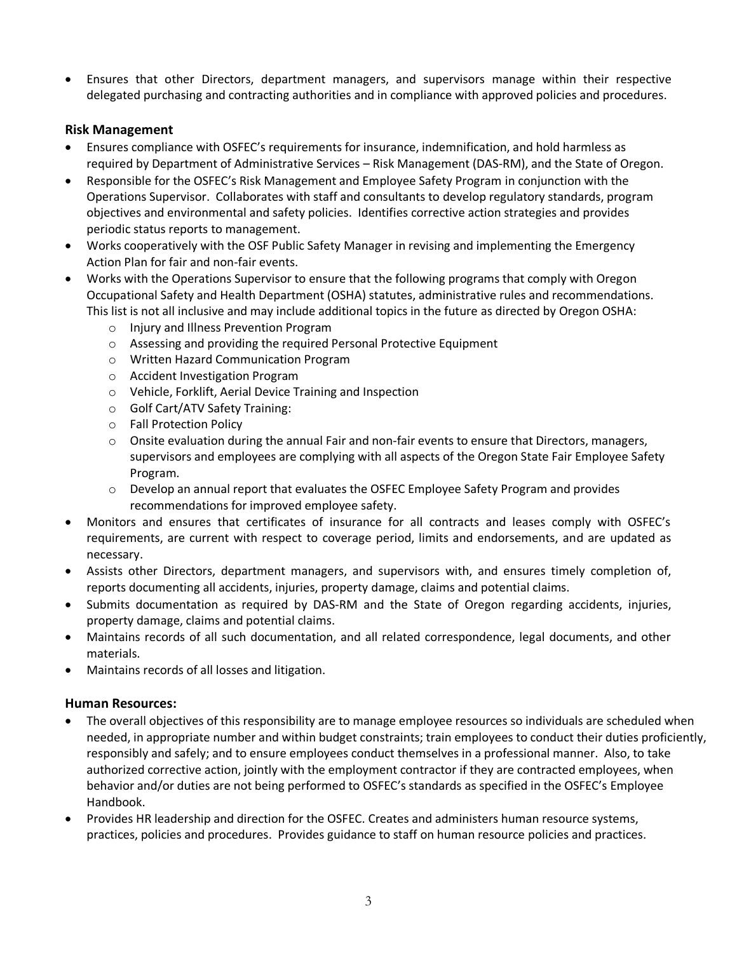• Ensures that other Directors, department managers, and supervisors manage within their respective delegated purchasing and contracting authorities and in compliance with approved policies and procedures.

#### **Risk Management**

- Ensures compliance with OSFEC's requirements for insurance, indemnification, and hold harmless as required by Department of Administrative Services – Risk Management (DAS-RM), and the State of Oregon.
- Responsible for the OSFEC's Risk Management and Employee Safety Program in conjunction with the Operations Supervisor. Collaborates with staff and consultants to develop regulatory standards, program objectives and environmental and safety policies. Identifies corrective action strategies and provides periodic status reports to management.
- Works cooperatively with the OSF Public Safety Manager in revising and implementing the Emergency Action Plan for fair and non-fair events.
- Works with the Operations Supervisor to ensure that the following programs that comply with Oregon Occupational Safety and Health Department (OSHA) statutes, administrative rules and recommendations. This list is not all inclusive and may include additional topics in the future as directed by Oregon OSHA:
	- o Injury and Illness Prevention Program
	- o Assessing and providing the required Personal Protective Equipment
	- o Written Hazard Communication Program
	- o Accident Investigation Program
	- o Vehicle, Forklift, Aerial Device Training and Inspection
	- o Golf Cart/ATV Safety Training:
	- o Fall Protection Policy
	- $\circ$  Onsite evaluation during the annual Fair and non-fair events to ensure that Directors, managers, supervisors and employees are complying with all aspects of the Oregon State Fair Employee Safety Program.
	- o Develop an annual report that evaluates the OSFEC Employee Safety Program and provides recommendations for improved employee safety.
- Monitors and ensures that certificates of insurance for all contracts and leases comply with OSFEC's requirements, are current with respect to coverage period, limits and endorsements, and are updated as necessary.
- Assists other Directors, department managers, and supervisors with, and ensures timely completion of, reports documenting all accidents, injuries, property damage, claims and potential claims.
- Submits documentation as required by DAS-RM and the State of Oregon regarding accidents, injuries, property damage, claims and potential claims.
- Maintains records of all such documentation, and all related correspondence, legal documents, and other materials.
- Maintains records of all losses and litigation.

#### **Human Resources:**

- The overall objectives of this responsibility are to manage employee resources so individuals are scheduled when needed, in appropriate number and within budget constraints; train employees to conduct their duties proficiently, responsibly and safely; and to ensure employees conduct themselves in a professional manner. Also, to take authorized corrective action, jointly with the employment contractor if they are contracted employees, when behavior and/or duties are not being performed to OSFEC's standards as specified in the OSFEC's Employee Handbook.
- Provides HR leadership and direction for the OSFEC. Creates and administers human resource systems, practices, policies and procedures. Provides guidance to staff on human resource policies and practices.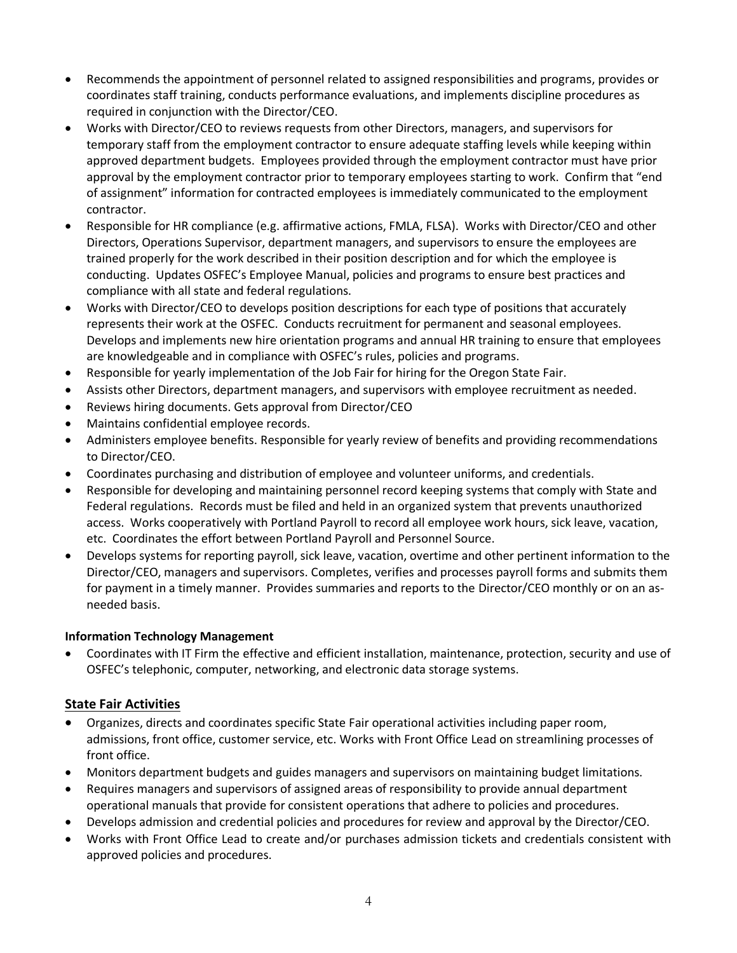- Recommends the appointment of personnel related to assigned responsibilities and programs, provides or coordinates staff training, conducts performance evaluations, and implements discipline procedures as required in conjunction with the Director/CEO.
- Works with Director/CEO to reviews requests from other Directors, managers, and supervisors for temporary staff from the employment contractor to ensure adequate staffing levels while keeping within approved department budgets. Employees provided through the employment contractor must have prior approval by the employment contractor prior to temporary employees starting to work. Confirm that "end of assignment" information for contracted employees is immediately communicated to the employment contractor.
- Responsible for HR compliance (e.g. affirmative actions, FMLA, FLSA). Works with Director/CEO and other Directors, Operations Supervisor, department managers, and supervisors to ensure the employees are trained properly for the work described in their position description and for which the employee is conducting. Updates OSFEC's Employee Manual, policies and programs to ensure best practices and compliance with all state and federal regulations.
- Works with Director/CEO to develops position descriptions for each type of positions that accurately represents their work at the OSFEC. Conducts recruitment for permanent and seasonal employees. Develops and implements new hire orientation programs and annual HR training to ensure that employees are knowledgeable and in compliance with OSFEC's rules, policies and programs.
- Responsible for yearly implementation of the Job Fair for hiring for the Oregon State Fair.
- Assists other Directors, department managers, and supervisors with employee recruitment as needed.
- Reviews hiring documents. Gets approval from Director/CEO
- Maintains confidential employee records.
- Administers employee benefits. Responsible for yearly review of benefits and providing recommendations to Director/CEO.
- Coordinates purchasing and distribution of employee and volunteer uniforms, and credentials.
- Responsible for developing and maintaining personnel record keeping systems that comply with State and Federal regulations. Records must be filed and held in an organized system that prevents unauthorized access. Works cooperatively with Portland Payroll to record all employee work hours, sick leave, vacation, etc. Coordinates the effort between Portland Payroll and Personnel Source.
- Develops systems for reporting payroll, sick leave, vacation, overtime and other pertinent information to the Director/CEO, managers and supervisors. Completes, verifies and processes payroll forms and submits them for payment in a timely manner. Provides summaries and reports to the Director/CEO monthly or on an asneeded basis.

#### **Information Technology Management**

• Coordinates with IT Firm the effective and efficient installation, maintenance, protection, security and use of OSFEC's telephonic, computer, networking, and electronic data storage systems.

#### **State Fair Activities**

- Organizes, directs and coordinates specific State Fair operational activities including paper room, admissions, front office, customer service, etc. Works with Front Office Lead on streamlining processes of front office.
- Monitors department budgets and guides managers and supervisors on maintaining budget limitations.
- Requires managers and supervisors of assigned areas of responsibility to provide annual department operational manuals that provide for consistent operations that adhere to policies and procedures.
- Develops admission and credential policies and procedures for review and approval by the Director/CEO.
- Works with Front Office Lead to create and/or purchases admission tickets and credentials consistent with approved policies and procedures.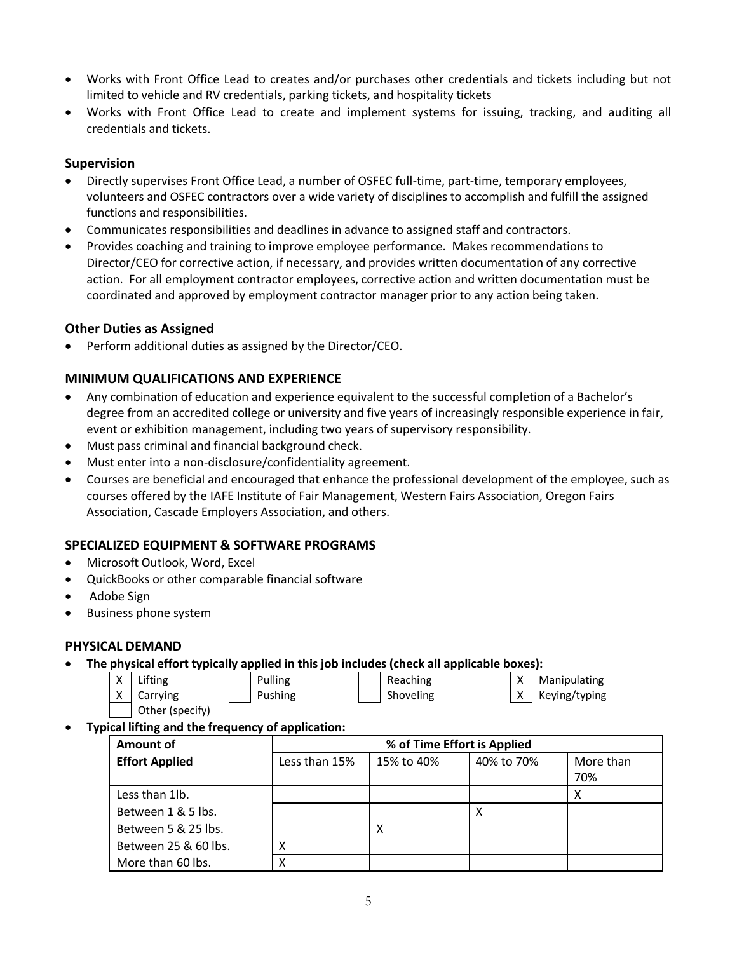- Works with Front Office Lead to creates and/or purchases other credentials and tickets including but not limited to vehicle and RV credentials, parking tickets, and hospitality tickets
- Works with Front Office Lead to create and implement systems for issuing, tracking, and auditing all credentials and tickets.

#### **Supervision**

- Directly supervises Front Office Lead, a number of OSFEC full-time, part-time, temporary employees, volunteers and OSFEC contractors over a wide variety of disciplines to accomplish and fulfill the assigned functions and responsibilities.
- Communicates responsibilities and deadlines in advance to assigned staff and contractors.
- Provides coaching and training to improve employee performance. Makes recommendations to Director/CEO for corrective action, if necessary, and provides written documentation of any corrective action. For all employment contractor employees, corrective action and written documentation must be coordinated and approved by employment contractor manager prior to any action being taken.

#### **Other Duties as Assigned**

• Perform additional duties as assigned by the Director/CEO.

#### **MINIMUM QUALIFICATIONS AND EXPERIENCE**

- Any combination of education and experience equivalent to the successful completion of a Bachelor's degree from an accredited college or university and five years of increasingly responsible experience in fair, event or exhibition management, including two years of supervisory responsibility.
- Must pass criminal and financial background check.
- Must enter into a non-disclosure/confidentiality agreement.
- Courses are beneficial and encouraged that enhance the professional development of the employee, such as courses offered by the IAFE Institute of Fair Management, Western Fairs Association, Oregon Fairs Association, Cascade Employers Association, and others.

#### **SPECIALIZED EQUIPMENT & SOFTWARE PROGRAMS**

- Microsoft Outlook, Word, Excel
- QuickBooks or other comparable financial software
- Adobe Sign
- Business phone system

#### **PHYSICAL DEMAND**

• **The physical effort typically applied in this job includes (check all applicable boxes):**

Other (specify)

X | Lifting X | Pulling | Reaching X | X | Manipulating X | Carrying | | Pushing | | Shoveling | X | Keying/typing

#### • **Typical lifting and the frequency of application:**

| Amount of             | % of Time Effort is Applied |            |            |                  |  |  |
|-----------------------|-----------------------------|------------|------------|------------------|--|--|
| <b>Effort Applied</b> | Less than 15%               | 15% to 40% | 40% to 70% | More than<br>70% |  |  |
| Less than 1lb.        |                             |            |            | х                |  |  |
| Between 1 & 5 lbs.    |                             |            |            |                  |  |  |
| Between 5 & 25 lbs.   |                             |            |            |                  |  |  |
| Between 25 & 60 lbs.  |                             |            |            |                  |  |  |
| More than 60 lbs.     |                             |            |            |                  |  |  |